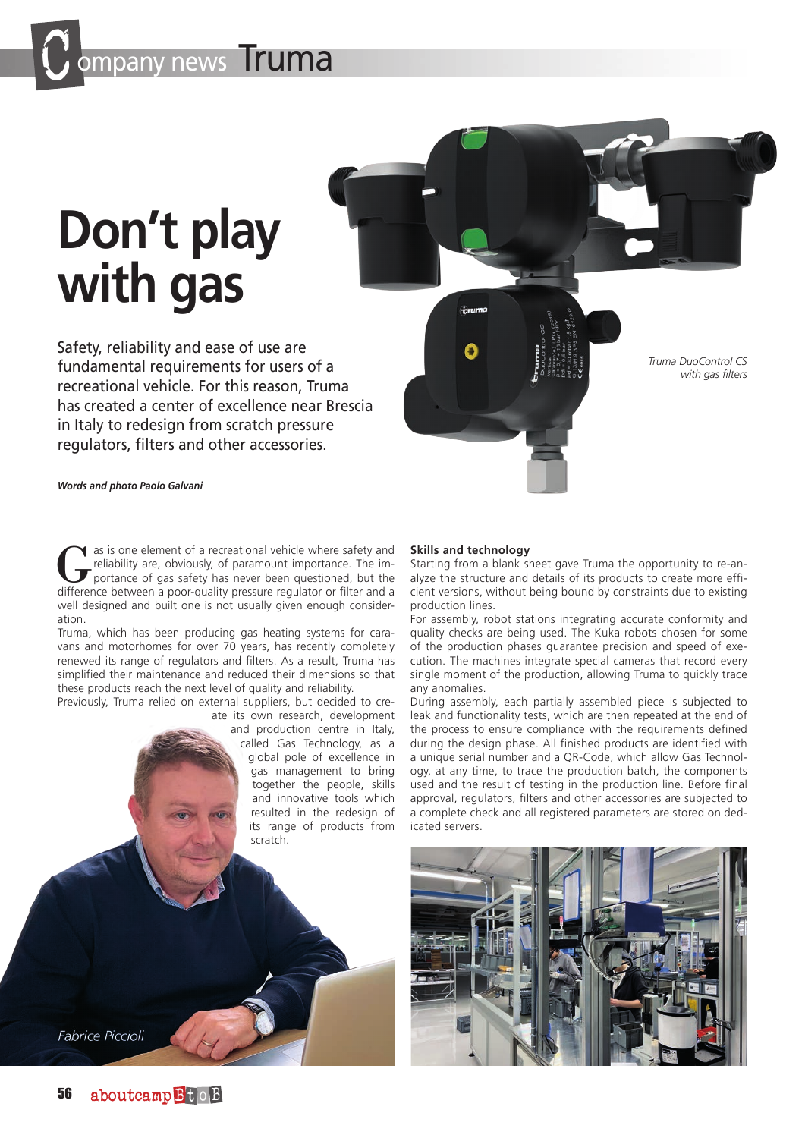pany news **Truma** 

# **Don't play with gas**

Safety, reliability and ease of use are fundamental requirements for users of a recreational vehicle. For this reason, Truma has created a center of excellence near Brescia in Italy to redesign from scratch pressure regulators, filters and other accessories.

*Truma DuoControl CS with gas filters*

*Words and photo Paolo Galvani*

Gas is one element of a recreational vehicle where safety and<br>
portance of gas safety has never been questioned, but the<br>
difference between a poor-quality pressure requistor or filter and a reliability are, obviously, of paramount importance. The imdifference between a poor-quality pressure regulator or filter and a well designed and built one is not usually given enough consideration.

Truma, which has been producing gas heating systems for caravans and motorhomes for over 70 years, has recently completely renewed its range of regulators and filters. As a result, Truma has simplified their maintenance and reduced their dimensions so that these products reach the next level of quality and reliability.

Previously, Truma relied on external suppliers, but decided to create its own research, development

and production centre in Italy, called Gas Technology, as a global pole of excellence in gas management to bring together the people, skills and innovative tools which resulted in the redesign of its range of products from scratch.

#### **Skills and technology**

Starting from a blank sheet gave Truma the opportunity to re-analyze the structure and details of its products to create more efficient versions, without being bound by constraints due to existing production lines.

For assembly, robot stations integrating accurate conformity and quality checks are being used. The Kuka robots chosen for some of the production phases guarantee precision and speed of execution. The machines integrate special cameras that record every single moment of the production, allowing Truma to quickly trace any anomalies.

During assembly, each partially assembled piece is subjected to leak and functionality tests, which are then repeated at the end of the process to ensure compliance with the requirements defined during the design phase. All finished products are identified with a unique serial number and a QR-Code, which allow Gas Technology, at any time, to trace the production batch, the components used and the result of testing in the production line. Before final approval, regulators, filters and other accessories are subjected to a complete check and all registered parameters are stored on dedicated servers.



**Fabrice Piccioli**